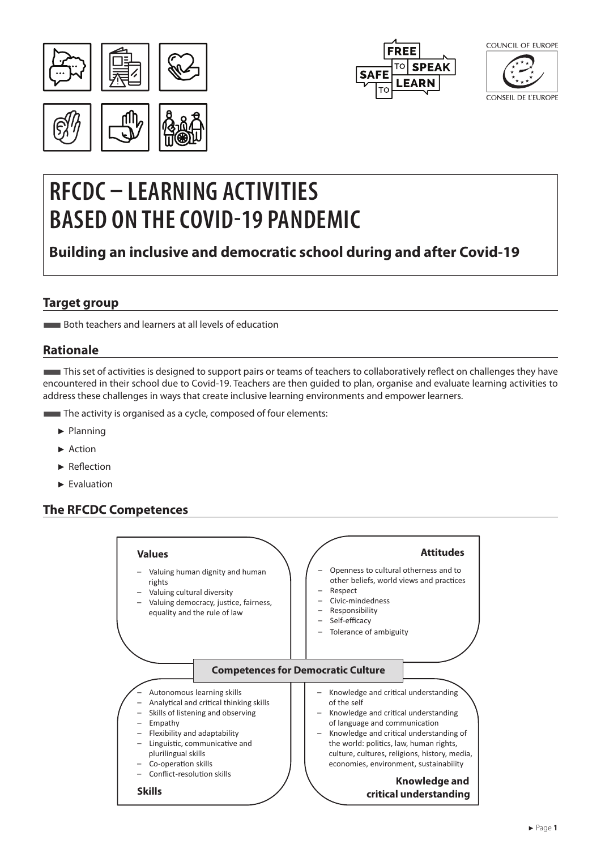





# **RFCDC – LEARNING ACTIVITIES BASED ON THE COVID-19 PANDEMIC**

## **Building an inclusive and democratic school during and after Covid-19**

## **Target group**

■Both teachers and learners at all levels of education

#### **Rationale**

■This set of activities is designed to support pairs or teams of teachers to collaboratively reflect on challenges they have encountered in their school due to Covid-19. Teachers are then guided to plan, organise and evaluate learning activities to address these challenges in ways that create inclusive learning environments and empower learners.

- The activity is organised as a cycle, composed of four elements:
	- ► Planning
	- ► Action
	- ► Reflection
	- ► Evaluation

## **The RFCDC Competences**

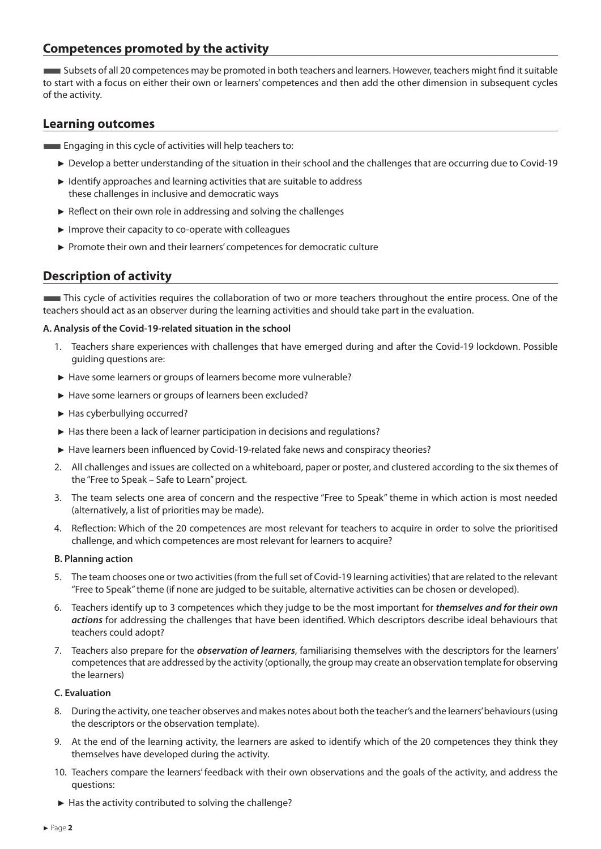### **Competences promoted by the activity**

■Subsets of all 20 competences may be promoted in both teachers and learners. However, teachers might find it suitable to start with a focus on either their own or learners' competences and then add the other dimension in subsequent cycles of the activity.

#### **Learning outcomes**

**Engaging in this cycle of activities will help teachers to:** 

- ► Develop a better understanding of the situation in their school and the challenges that are occurring due to Covid-19
- ► Identify approaches and learning activities that are suitable to address these challenges in inclusive and democratic ways
- ► Reflect on their own role in addressing and solving the challenges
- ► Improve their capacity to co-operate with colleagues
- ► Promote their own and their learners' competences for democratic culture

## **Description of activity**

**This cycle of activities requires the collaboration of two or more teachers throughout the entire process. One of the** teachers should act as an observer during the learning activities and should take part in the evaluation.

#### **A. Analysis of the Covid-19-related situation in the school**

- 1. Teachers share experiences with challenges that have emerged during and after the Covid-19 lockdown. Possible guiding questions are:
- ► Have some learners or groups of learners become more vulnerable?
- ► Have some learners or groups of learners been excluded?
- ► Has cyberbullying occurred?
- ► Has there been a lack of learner participation in decisions and regulations?
- ► Have learners been influenced by Covid-19-related fake news and conspiracy theories?
- 2. All challenges and issues are collected on a whiteboard, paper or poster, and clustered according to the six themes of the "Free to Speak – Safe to Learn" project.
- 3. The team selects one area of concern and the respective "Free to Speak" theme in which action is most needed (alternatively, a list of priorities may be made).
- 4. Reflection: Which of the 20 competences are most relevant for teachers to acquire in order to solve the prioritised challenge, and which competences are most relevant for learners to acquire?

#### **B. Planning action**

- 5. The team chooses one or two activities (from the full set of Covid-19 learning activities) that are related to the relevant "Free to Speak" theme (if none are judged to be suitable, alternative activities can be chosen or developed).
- 6. Teachers identify up to 3 competences which they judge to be the most important for *themselves and for their own actions* for addressing the challenges that have been identified. Which descriptors describe ideal behaviours that teachers could adopt?
- 7. Teachers also prepare for the *observation of learners*, familiarising themselves with the descriptors for the learners' competences that are addressed by the activity (optionally, the group may create an observation template for observing the learners)

#### **C. Evaluation**

- 8. During the activity, one teacher observes and makes notes about both the teacher's and the learners' behaviours (using the descriptors or the observation template).
- 9. At the end of the learning activity, the learners are asked to identify which of the 20 competences they think they themselves have developed during the activity.
- 10. Teachers compare the learners' feedback with their own observations and the goals of the activity, and address the questions:
- ► Has the activity contributed to solving the challenge?